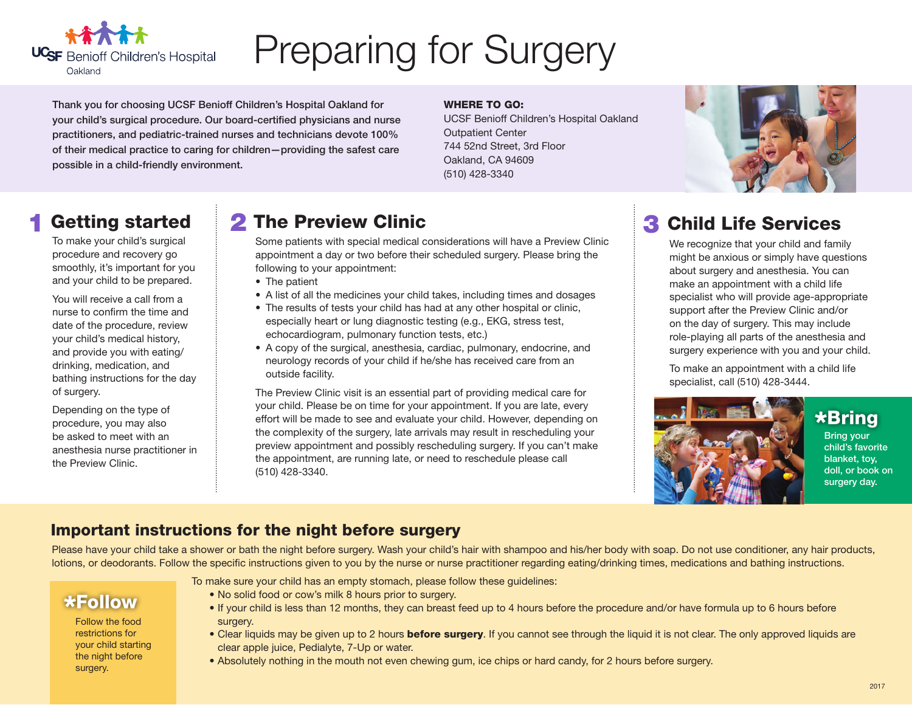

# Preparing for Surgery

Thank you for choosing UCSF Benioff Children's Hospital Oakland for your child's surgical procedure. Our board-certified physicians and nurse practitioners, and pediatric-trained nurses and technicians devote 100% of their medical practice to caring for children—providing the safest care possible in a child-friendly environment.

#### WHERE TO GO:

UCSF Benioff Children's Hospital Oakland Outpatient Center 744 52nd Street, 3rd Floor Oakland, CA 94609 (510) 428-3340



To make your child's surgical procedure and recovery go smoothly, it's important for you and your child to be prepared.

You will receive a call from a nurse to confirm the time and date of the procedure, review your child's medical history, and provide you with eating/ drinking, medication, and bathing instructions for the day of surgery.

Depending on the type of procedure, you may also be asked to meet with an anesthesia nurse practitioner in the Preview Clinic.

#### Getting started 2 The Preview Clinic

Some patients with special medical considerations will have a Preview Clinic appointment a day or two before their scheduled surgery. Please bring the following to your appointment:

- The patient
- A list of all the medicines your child takes, including times and dosages
- The results of tests your child has had at any other hospital or clinic, especially heart or lung diagnostic testing (e.g., EKG, stress test, echocardiogram, pulmonary function tests, etc.)
- A copy of the surgical, anesthesia, cardiac, pulmonary, endocrine, and neurology records of your child if he/she has received care from an outside facility.

The Preview Clinic visit is an essential part of providing medical care for your child. Please be on time for your appointment. If you are late, every effort will be made to see and evaluate your child. However, depending on the complexity of the surgery, late arrivals may result in rescheduling your preview appointment and possibly rescheduling surgery. If you can't make the appointment, are running late, or need to reschedule please call (510) 428-3340.

#### 3 Child Life Services

We recognize that your child and family might be anxious or simply have questions about surgery and anesthesia. You can make an appointment with a child life specialist who will provide age-appropriate support after the Preview Clinic and/or on the day of surgery. This may include role-playing all parts of the anesthesia and surgery experience with you and your child.

To make an appointment with a child life specialist, call (510) 428-3444.



# \*Bring

Bring your child's favorite blanket, toy, doll, or book on surgery day.

#### Important instructions for the night before surgery

Please have your child take a shower or bath the night before surgery. Wash your child's hair with shampoo and his/her body with soap. Do not use conditioner, any hair products, lotions, or deodorants. Follow the specific instructions given to you by the nurse or nurse practitioner regarding eating/drinking times, medications and bathing instructions.

#### \*Follow

Follow the food restrictions for your child starting the night before surgery.

- To make sure your child has an empty stomach, please follow these guidelines:
	- No solid food or cow's milk 8 hours prior to surgery.
	- If your child is less than 12 months, they can breast feed up to 4 hours before the procedure and/or have formula up to 6 hours before surgery.
	- Clear liquids may be given up to 2 hours **before surgery**. If you cannot see through the liquid it is not clear. The only approved liquids are clear apple juice, Pedialyte, 7-Up or water.
	- Absolutely nothing in the mouth not even chewing gum, ice chips or hard candy, for 2 hours before surgery.